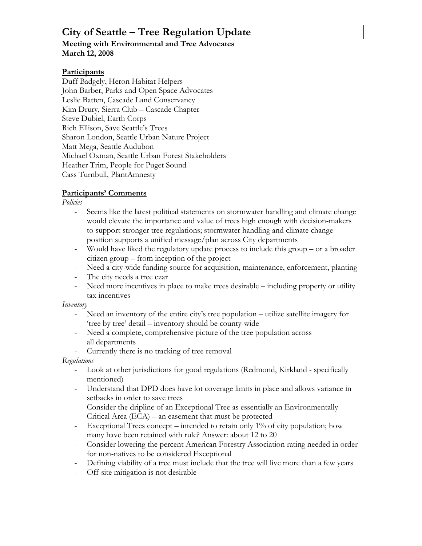# **City of Seattle – Tree Regulation Update**

### **Meeting with Environmental and Tree Advocates March 12, 2008**

## **Participants**

Duff Badgely, Heron Habitat Helpers John Barber, Parks and Open Space Advocates Leslie Batten, Cascade Land Conservancy Kim Drury, Sierra Club – Cascade Chapter Steve Dubiel, Earth Corps Rich Ellison, Save Seattle's Trees Sharon London, Seattle Urban Nature Project Matt Mega, Seattle Audubon Michael Oxman, Seattle Urban Forest Stakeholders Heather Trim, People for Puget Sound Cass Turnbull, PlantAmnesty

## **Participants' Comments**

*Policies* 

- Seems like the latest political statements on stormwater handling and climate change would elevate the importance and value of trees high enough with decision-makers to support stronger tree regulations; stormwater handling and climate change position supports a unified message/plan across City departments
- Would have liked the regulatory update process to include this group or a broader citizen group – from inception of the project
- Need a city-wide funding source for acquisition, maintenance, enforcement, planting
- The city needs a tree czar
- Need more incentives in place to make trees desirable including property or utility tax incentives

*Inventory* 

- Need an inventory of the entire city's tree population utilize satellite imagery for 'tree by tree' detail – inventory should be county-wide
- Need a complete, comprehensive picture of the tree population across all departments
- Currently there is no tracking of tree removal

*Regulations* 

- Look at other jurisdictions for good regulations (Redmond, Kirkland specifically mentioned)
- Understand that DPD does have lot coverage limits in place and allows variance in setbacks in order to save trees
- Consider the dripline of an Exceptional Tree as essentially an Environmentally Critical Area (ECA) – an easement that must be protected
- Exceptional Trees concept intended to retain only 1% of city population; how many have been retained with rule? Answer: about 12 to 20
- Consider lowering the percent American Forestry Association rating needed in order for non-natives to be considered Exceptional
- Defining viability of a tree must include that the tree will live more than a few years
- Off-site mitigation is not desirable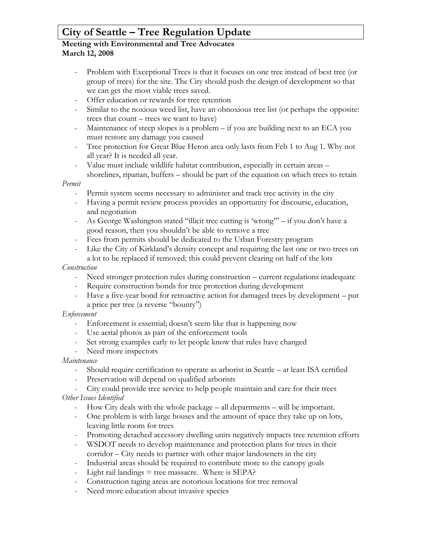# **City of Seattle – Tree Regulation Update**

### **Meeting with Environmental and Tree Advocates March 12, 2008**

- Problem with Exceptional Trees is that it focuses on one tree instead of best tree (or group of trees) for the site. The City should push the design of development so that we can get the most viable trees saved.
- Offer education or rewards for tree retention
- Similar to the noxious weed list, have an obnoxious tree list (or perhaps the opposite: trees that count – trees we want to have)
- Maintenance of steep slopes is a problem if you are building next to an ECA you must restore any damage you caused
- Tree protection for Great Blue Heron area only lasts from Feb 1 to Aug 1. Why not all year? It is needed all year.
- Value must include wildlife habitat contribution, especially in certain areas shorelines, riparian, buffers – should be part of the equation on which trees to retain

### *Permit*

- Permit system seems necessary to administer and track tree activity in the city
- Having a permit review process provides an opportunity for discourse, education, and negotiation
- As George Washington stated "illicit tree cutting is 'wrong'" if you don't have a good reason, then you shouldn't be able to remove a tree
- Fees from permits should be dedicated to the Urban Forestry program
- Like the City of Kirkland's density concept and requiring the last one or two trees on a lot to be replaced if removed; this could prevent clearing on half of the lots

## *Construction*

- Need stronger protection rules during construction current regulations inadequate
- Require construction bonds for tree protection during development
- Have a five-year bond for retroactive action for damaged trees by development put a price per tree (a reverse "bounty")

## *Enforcement*

- Enforcement is essential; doesn't seem like that is happening now
- Use aerial photos as part of the enforcement tools
- Set strong examples early to let people know that rules have changed
- Need more inspectors

## *Maintenance*

- Should require certification to operate as arborist in Seattle at least ISA certified
- Preservation will depend on qualified arborists
- City could provide tree service to help people maintain and care for their trees *Other Issues Identified* 
	- How City deals with the whole package all departments will be important.
	- One problem is with large houses and the amount of space they take up on lots, leaving little room for trees
	- Promoting detached accessory dwelling units negatively impacts tree retention efforts
	- WSDOT needs to develop maintenance and protection plans for trees in their corridor – City needs to partner with other major landowners in the city
	- Industrial areas should be required to contribute more to the canopy goals
	- Light rail landings  $=$  tree massacre. Where is SEPA?
	- Construction taging areas are notorious locations for tree removal
	- Need more education about invasive species